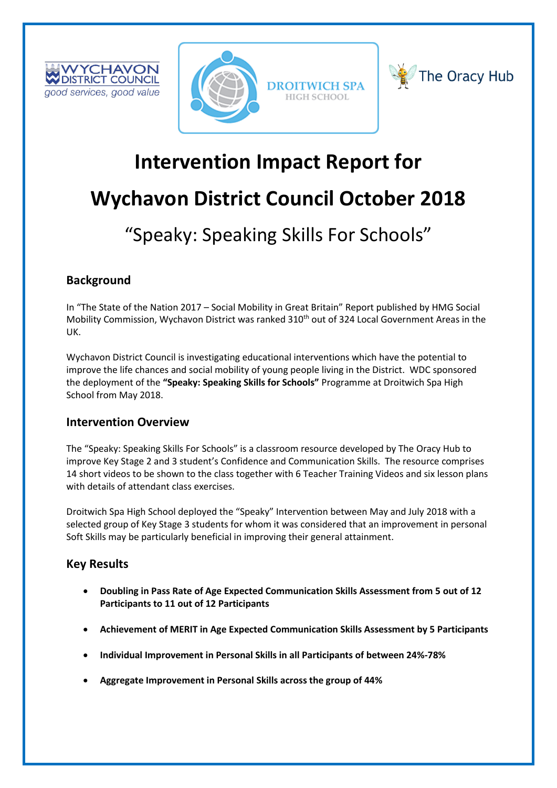





# **Intervention Impact Report for**

# **Wychavon District Council October 2018**

# "Speaky: Speaking Skills For Schools"

# **Background**

In "The State of the Nation 2017 – Social Mobility in Great Britain" Report published by HMG Social Mobility Commission, Wychavon District was ranked 310<sup>th</sup> out of 324 Local Government Areas in the UK.

Wychavon District Council is investigating educational interventions which have the potential to improve the life chances and social mobility of young people living in the District. WDC sponsored the deployment of the **"Speaky: Speaking Skills for Schools"** Programme at Droitwich Spa High School from May 2018.

## **Intervention Overview**

The "Speaky: Speaking Skills For Schools" is a classroom resource developed by The Oracy Hub to improve Key Stage 2 and 3 student's Confidence and Communication Skills. The resource comprises 14 short videos to be shown to the class together with 6 Teacher Training Videos and six lesson plans with details of attendant class exercises.

Droitwich Spa High School deployed the "Speaky" Intervention between May and July 2018 with a selected group of Key Stage 3 students for whom it was considered that an improvement in personal Soft Skills may be particularly beneficial in improving their general attainment.

## **Key Results**

- **Doubling in Pass Rate of Age Expected Communication Skills Assessment from 5 out of 12 Participants to 11 out of 12 Participants**
- **Achievement of MERIT in Age Expected Communication Skills Assessment by 5 Participants**
- **Individual Improvement in Personal Skills in all Participants of between 24%-78%**
- **Aggregate Improvement in Personal Skills across the group of 44%**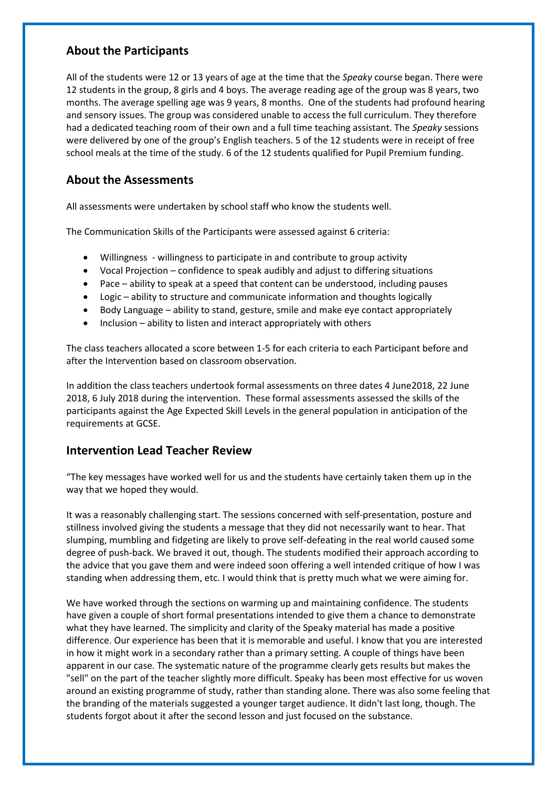## **About the Participants**

All of the students were 12 or 13 years of age at the time that the *Speaky* course began. There were 12 students in the group, 8 girls and 4 boys. The average reading age of the group was 8 years, two months. The average spelling age was 9 years, 8 months. One of the students had profound hearing and sensory issues. The group was considered unable to access the full curriculum. They therefore had a dedicated teaching room of their own and a full time teaching assistant. The *Speaky* sessions were delivered by one of the group's English teachers. 5 of the 12 students were in receipt of free school meals at the time of the study. 6 of the 12 students qualified for Pupil Premium funding.

## **About the Assessments**

All assessments were undertaken by school staff who know the students well.

The Communication Skills of the Participants were assessed against 6 criteria:

- Willingness willingness to participate in and contribute to group activity
- Vocal Projection confidence to speak audibly and adjust to differing situations
- Pace ability to speak at a speed that content can be understood, including pauses
- Logic ability to structure and communicate information and thoughts logically
- Body Language ability to stand, gesture, smile and make eye contact appropriately
- Inclusion ability to listen and interact appropriately with others

The class teachers allocated a score between 1-5 for each criteria to each Participant before and after the Intervention based on classroom observation.

In addition the class teachers undertook formal assessments on three dates 4 June2018, 22 June 2018, 6 July 2018 during the intervention. These formal assessments assessed the skills of the participants against the Age Expected Skill Levels in the general population in anticipation of the requirements at GCSE.

### **Intervention Lead Teacher Review**

"The key messages have worked well for us and the students have certainly taken them up in the way that we hoped they would.

It was a reasonably challenging start. The sessions concerned with self-presentation, posture and stillness involved giving the students a message that they did not necessarily want to hear. That slumping, mumbling and fidgeting are likely to prove self-defeating in the real world caused some degree of push-back. We braved it out, though. The students modified their approach according to the advice that you gave them and were indeed soon offering a well intended critique of how I was standing when addressing them, etc. I would think that is pretty much what we were aiming for.

We have worked through the sections on warming up and maintaining confidence. The students have given a couple of short formal presentations intended to give them a chance to demonstrate what they have learned. The simplicity and clarity of the Speaky material has made a positive difference. Our experience has been that it is memorable and useful. I know that you are interested in how it might work in a secondary rather than a primary setting. A couple of things have been apparent in our case. The systematic nature of the programme clearly gets results but makes the "sell" on the part of the teacher slightly more difficult. Speaky has been most effective for us woven around an existing programme of study, rather than standing alone. There was also some feeling that the branding of the materials suggested a younger target audience. It didn't last long, though. The students forgot about it after the second lesson and just focused on the substance.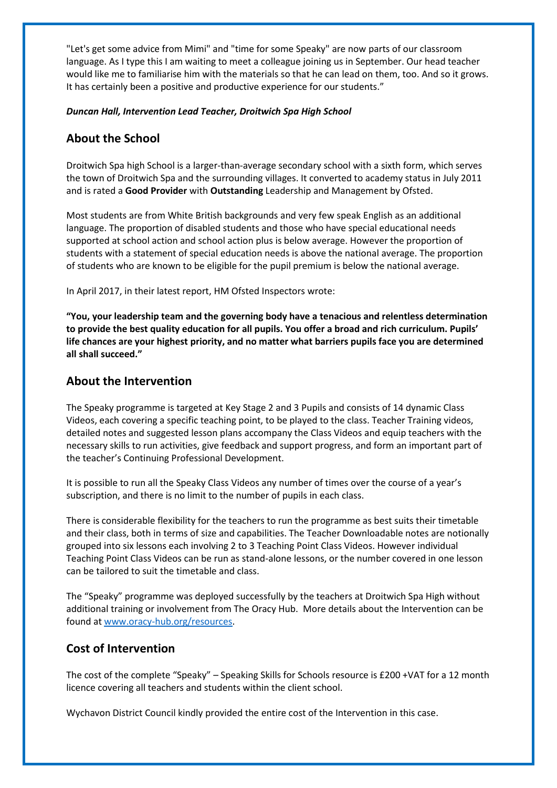"Let's get some advice from Mimi" and "time for some Speaky" are now parts of our classroom language. As I type this I am waiting to meet a colleague joining us in September. Our head teacher would like me to familiarise him with the materials so that he can lead on them, too. And so it grows. It has certainly been a positive and productive experience for our students."

#### *Duncan Hall, Intervention Lead Teacher, Droitwich Spa High School*

## **About the School**

Droitwich Spa high School is a larger-than-average secondary school with a sixth form, which serves the town of Droitwich Spa and the surrounding villages. It converted to academy status in July 2011 and is rated a **Good Provider** with **Outstanding** Leadership and Management by Ofsted.

Most students are from White British backgrounds and very few speak English as an additional language. The proportion of disabled students and those who have special educational needs supported at school action and school action plus is below average. However the proportion of students with a statement of special education needs is above the national average. The proportion of students who are known to be eligible for the pupil premium is below the national average.

In April 2017, in their latest report, HM Ofsted Inspectors wrote:

**"You, your leadership team and the governing body have a tenacious and relentless determination to provide the best quality education for all pupils. You offer a broad and rich curriculum. Pupils' life chances are your highest priority, and no matter what barriers pupils face you are determined all shall succeed."**

### **About the Intervention**

The Speaky programme is targeted at Key Stage 2 and 3 Pupils and consists of 14 dynamic Class Videos, each covering a specific teaching point, to be played to the class. Teacher Training videos, detailed notes and suggested lesson plans accompany the Class Videos and equip teachers with the necessary skills to run activities, give feedback and support progress, and form an important part of the teacher's Continuing Professional Development.

It is possible to run all the Speaky Class Videos any number of times over the course of a year's subscription, and there is no limit to the number of pupils in each class.

There is considerable flexibility for the teachers to run the programme as best suits their timetable and their class, both in terms of size and capabilities. The Teacher Downloadable notes are notionally grouped into six lessons each involving 2 to 3 Teaching Point Class Videos. However individual Teaching Point Class Videos can be run as stand-alone lessons, or the number covered in one lesson can be tailored to suit the timetable and class.

The "Speaky" programme was deployed successfully by the teachers at Droitwich Spa High without additional training or involvement from The Oracy Hub. More details about the Intervention can be found at [www.oracy-hub.org/resources.](http://www.oracy-hub.org/resources)

### **Cost of Intervention**

The cost of the complete "Speaky" – Speaking Skills for Schools resource is £200 +VAT for a 12 month licence covering all teachers and students within the client school.

Wychavon District Council kindly provided the entire cost of the Intervention in this case.